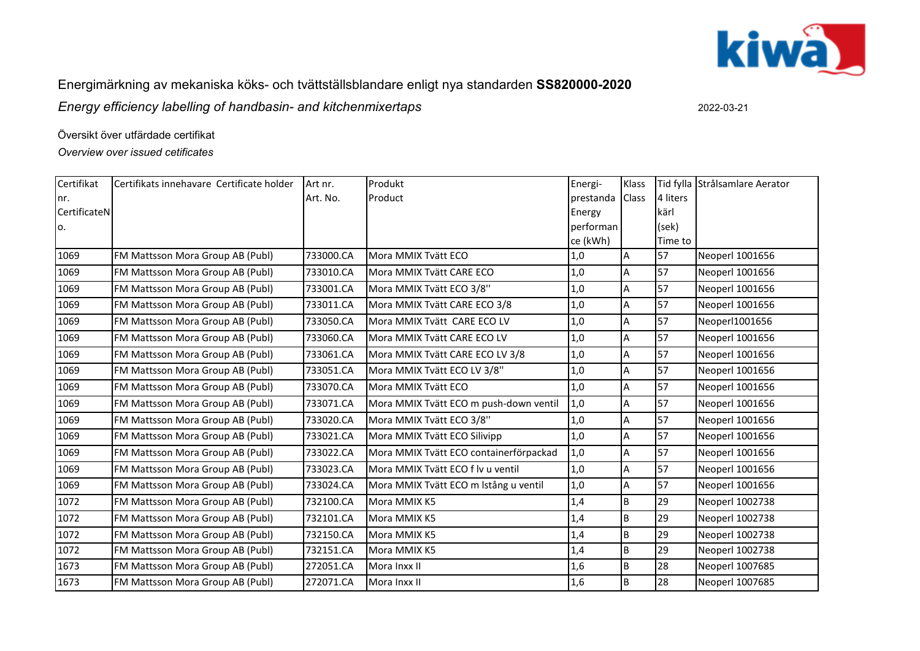

## Energimärkning av mekaniska köks- och tvättställsblandare enligt nya standarden **SS820000-2020**

*Energy efficiency labelling of handbasin- and kitchenmixertaps* 2022-03-21

Översikt över utfärdade certifikat

*Overview over issued cetificates*

| Certifikat   | Certifikats innehavare Certificate holder | Art nr.   | Produkt                                | Energi-   | Klass        |          | Tid fylla Strålsamlare Aerator |
|--------------|-------------------------------------------|-----------|----------------------------------------|-----------|--------------|----------|--------------------------------|
| nr.          |                                           | Art. No.  | Product                                | prestanda | <b>Class</b> | 4 liters |                                |
| CertificateN |                                           |           |                                        | Energy    |              | kärl     |                                |
| о.           |                                           |           |                                        | performan |              | (sek)    |                                |
|              |                                           |           |                                        | ce (kWh)  |              | Time to  |                                |
| 1069         | FM Mattsson Mora Group AB (Publ)          | 733000.CA | Mora MMIX Tvätt ECO                    | 1,0       | A            | 57       | Neoperl 1001656                |
| 1069         | FM Mattsson Mora Group AB (Publ)          | 733010.CA | Mora MMIX Tvätt CARE ECO               | 1,0       | A            | 57       | Neoperl 1001656                |
| 1069         | FM Mattsson Mora Group AB (Publ)          | 733001.CA | Mora MMIX Tvätt ECO 3/8"               | 1,0       | Α            | 57       | Neoperl 1001656                |
| 1069         | FM Mattsson Mora Group AB (Publ)          | 733011.CA | Mora MMIX Tvätt CARE ECO 3/8           | 1,0       | A            | 57       | Neoperl 1001656                |
| 1069         | FM Mattsson Mora Group AB (Publ)          | 733050.CA | Mora MMIX Tvätt CARE ECO LV            | 1,0       | A            | 57       | Neoperl1001656                 |
| 1069         | FM Mattsson Mora Group AB (Publ)          | 733060.CA | Mora MMIX Tvätt CARE ECO LV            | 1,0       | A            | 57       | Neoperl 1001656                |
| 1069         | FM Mattsson Mora Group AB (Publ)          | 733061.CA | Mora MMIX Tvätt CARE ECO LV 3/8        | 1,0       | A            | 57       | Neoperl 1001656                |
| 1069         | FM Mattsson Mora Group AB (Publ)          | 733051.CA | Mora MMIX Tvätt ECO LV 3/8"            | 1,0       | A            | 57       | Neoperl 1001656                |
| 1069         | FM Mattsson Mora Group AB (Publ)          | 733070.CA | Mora MMIX Tvätt ECO                    | 1,0       | A            | 57       | Neoperl 1001656                |
| 1069         | FM Mattsson Mora Group AB (Publ)          | 733071.CA | Mora MMIX Tvätt ECO m push-down ventil | 1,0       | A            | 57       | Neoperl 1001656                |
| 1069         | FM Mattsson Mora Group AB (Publ)          | 733020.CA | Mora MMIX Tvätt ECO 3/8"               | 1,0       | A            | 57       | Neoperl 1001656                |
| 1069         | FM Mattsson Mora Group AB (Publ)          | 733021.CA | Mora MMIX Tvätt ECO Silivipp           | 1,0       | Α            | 57       | Neoperl 1001656                |
| 1069         | FM Mattsson Mora Group AB (Publ)          | 733022.CA | Mora MMIX Tvätt ECO containerförpackad | 1,0       | A            | 57       | Neoperl 1001656                |
| 1069         | FM Mattsson Mora Group AB (Publ)          | 733023.CA | Mora MMIX Tvätt ECO f lv u ventil      | 1,0       | A            | 57       | Neoperl 1001656                |
| 1069         | FM Mattsson Mora Group AB (Publ)          | 733024.CA | Mora MMIX Tvätt ECO m Istång u ventil  | 1,0       | A            | 57       | Neoperl 1001656                |
| 1072         | FM Mattsson Mora Group AB (Publ)          | 732100.CA | Mora MMIX K5                           | 1,4       | B            | 29       | Neoperl 1002738                |
| 1072         | FM Mattsson Mora Group AB (Publ)          | 732101.CA | Mora MMIX K5                           | 1,4       | B            | 29       | Neoperl 1002738                |
| 1072         | FM Mattsson Mora Group AB (Publ)          | 732150.CA | Mora MMIX K5                           | 1,4       | B            | 29       | Neoperl 1002738                |
| 1072         | FM Mattsson Mora Group AB (Publ)          | 732151.CA | Mora MMIX K5                           | 1,4       | B            | 29       | Neoperl 1002738                |
| 1673         | FM Mattsson Mora Group AB (Publ)          | 272051.CA | Mora Inxx II                           | 1,6       | B            | 28       | Neoperl 1007685                |
| 1673         | FM Mattsson Mora Group AB (Publ)          | 272071.CA | Mora Inxx II                           | 1,6       | B            | 28       | Neoperl 1007685                |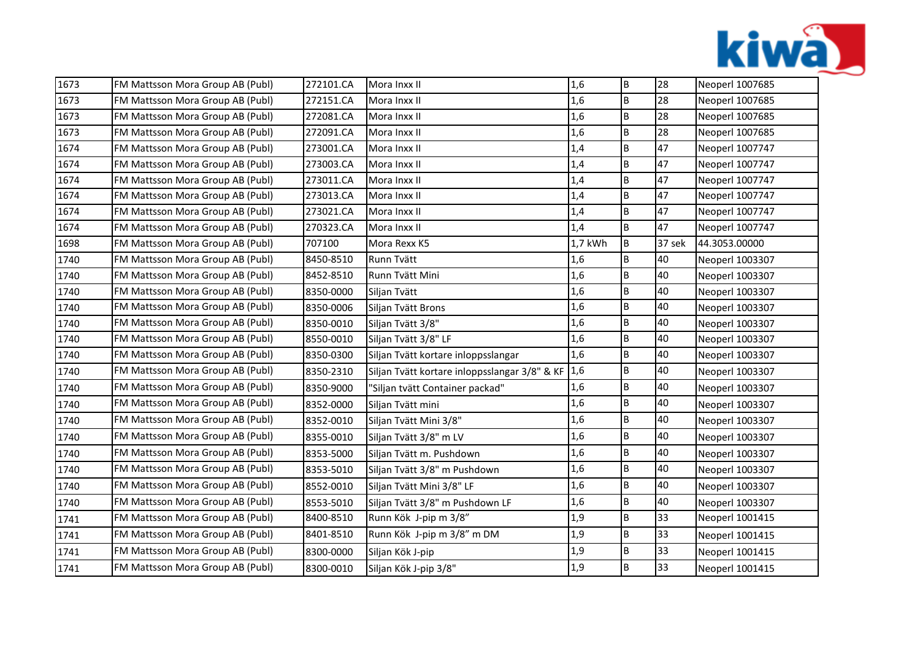

| 1673 | FM Mattsson Mora Group AB (Publ) | 272101.CA | Mora Inxx II                                  | 1,6     | B  | 28     | Neoperl 1007685 |
|------|----------------------------------|-----------|-----------------------------------------------|---------|----|--------|-----------------|
| 1673 | FM Mattsson Mora Group AB (Publ) | 272151.CA | Mora Inxx II                                  | 1,6     | B  | 28     | Neoperl 1007685 |
| 1673 | FM Mattsson Mora Group AB (Publ) | 272081.CA | Mora Inxx II                                  | 1,6     | B  | 28     | Neoperl 1007685 |
| 1673 | FM Mattsson Mora Group AB (Publ) | 272091.CA | Mora Inxx II                                  | 1,6     | B  | 28     | Neoperl 1007685 |
| 1674 | FM Mattsson Mora Group AB (Publ) | 273001.CA | Mora Inxx II                                  | 1,4     | B  | 47     | Neoperl 1007747 |
| 1674 | FM Mattsson Mora Group AB (Publ) | 273003.CA | Mora Inxx II                                  | 1,4     | İΒ | 47     | Neoperl 1007747 |
| 1674 | FM Mattsson Mora Group AB (Publ) | 273011.CA | Mora Inxx II                                  | 1,4     | B  | 47     | Neoperl 1007747 |
| 1674 | FM Mattsson Mora Group AB (Publ) | 273013.CA | Mora Inxx II                                  | 1,4     | B  | 47     | Neoperl 1007747 |
| 1674 | FM Mattsson Mora Group AB (Publ) | 273021.CA | Mora Inxx II                                  | 1,4     | B  | 47     | Neoperl 1007747 |
| 1674 | FM Mattsson Mora Group AB (Publ) | 270323.CA | Mora Inxx II                                  | 1,4     | B  | 47     | Neoperl 1007747 |
| 1698 | FM Mattsson Mora Group AB (Publ) | 707100    | Mora Rexx K5                                  | 1,7 kWh | B  | 37 sek | 44.3053.00000   |
| 1740 | FM Mattsson Mora Group AB (Publ) | 8450-8510 | Runn Tvätt                                    | 1,6     | B  | 40     | Neoperl 1003307 |
| 1740 | FM Mattsson Mora Group AB (Publ) | 8452-8510 | Runn Tvätt Mini                               | 1,6     | B  | 40     | Neoperl 1003307 |
| 1740 | FM Mattsson Mora Group AB (Publ) | 8350-0000 | Siljan Tvätt                                  | 1,6     | ΙB | 40     | Neoperl 1003307 |
| 1740 | FM Mattsson Mora Group AB (Publ) | 8350-0006 | Siljan Tvätt Brons                            | 1,6     | B  | 40     | Neoperl 1003307 |
| 1740 | FM Mattsson Mora Group AB (Publ) | 8350-0010 | Siljan Tvätt 3/8"                             | 1,6     | B  | 40     | Neoperl 1003307 |
| 1740 | FM Mattsson Mora Group AB (Publ) | 8550-0010 | Siljan Tvätt 3/8" LF                          | 1,6     | B  | 40     | Neoperl 1003307 |
| 1740 | FM Mattsson Mora Group AB (Publ) | 8350-0300 | Siljan Tvätt kortare inloppsslangar           | 1,6     | B  | 40     | Neoperl 1003307 |
| 1740 | FM Mattsson Mora Group AB (Publ) | 8350-2310 | Siljan Tvätt kortare inloppsslangar 3/8" & KF | 1,6     | B  | 40     | Neoperl 1003307 |
| 1740 | FM Mattsson Mora Group AB (Publ) | 8350-9000 | "Siljan tvätt Container packad"               | 1,6     | B  | 40     | Neoperl 1003307 |
| 1740 | FM Mattsson Mora Group AB (Publ) | 8352-0000 | Siljan Tvätt mini                             | 1,6     | B  | 40     | Neoperl 1003307 |
| 1740 | FM Mattsson Mora Group AB (Publ) | 8352-0010 | Siljan Tvätt Mini 3/8"                        | 1,6     | B  | 40     | Neoperl 1003307 |
| 1740 | FM Mattsson Mora Group AB (Publ) | 8355-0010 | Siljan Tvätt 3/8" m LV                        | 1,6     | B  | 40     | Neoperl 1003307 |
| 1740 | FM Mattsson Mora Group AB (Publ) | 8353-5000 | Siljan Tvätt m. Pushdown                      | 1,6     | B  | 40     | Neoperl 1003307 |
| 1740 | FM Mattsson Mora Group AB (Publ) | 8353-5010 | Siljan Tvätt 3/8" m Pushdown                  | 1,6     | B  | 40     | Neoperl 1003307 |
| 1740 | FM Mattsson Mora Group AB (Publ) | 8552-0010 | Siljan Tvätt Mini 3/8" LF                     | 1,6     | B  | 40     | Neoperl 1003307 |
| 1740 | FM Mattsson Mora Group AB (Publ) | 8553-5010 | Siljan Tvätt 3/8" m Pushdown LF               | 1,6     | B  | 40     | Neoperl 1003307 |
| 1741 | FM Mattsson Mora Group AB (Publ) | 8400-8510 | Runn Kök J-pip m 3/8"                         | 1,9     | B  | 33     | Neoperl 1001415 |
| 1741 | FM Mattsson Mora Group AB (Publ) | 8401-8510 | Runn Kök J-pip m 3/8" m DM                    | 1,9     | B  | 33     | Neoperl 1001415 |
| 1741 | FM Mattsson Mora Group AB (Publ) | 8300-0000 | Siljan Kök J-pip                              | 1,9     | B  | 33     | Neoperl 1001415 |
| 1741 | FM Mattsson Mora Group AB (Publ) | 8300-0010 | Siljan Kök J-pip 3/8"                         | 1,9     | B  | 33     | Neoperl 1001415 |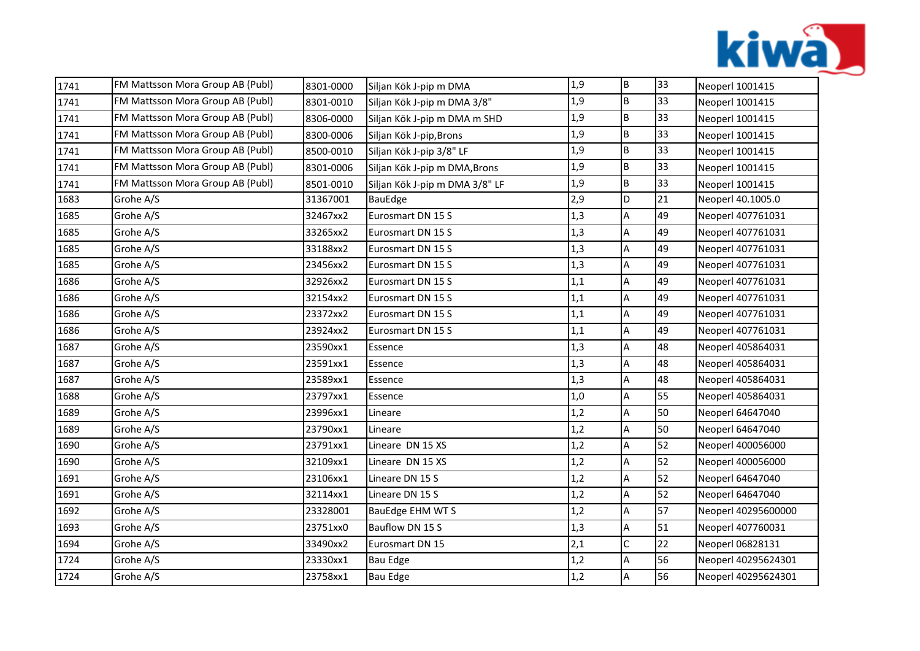

| 1741 | FM Mattsson Mora Group AB (Publ) | 8301-0000 | Siljan Kök J-pip m DMA         | 1,9 | B                         | 33 | Neoperl 1001415     |
|------|----------------------------------|-----------|--------------------------------|-----|---------------------------|----|---------------------|
| 1741 | FM Mattsson Mora Group AB (Publ) | 8301-0010 | Siljan Kök J-pip m DMA 3/8"    | 1,9 | B                         | 33 | Neoperl 1001415     |
| 1741 | FM Mattsson Mora Group AB (Publ) | 8306-0000 | Siljan Kök J-pip m DMA m SHD   | 1,9 | B                         | 33 | Neoperl 1001415     |
| 1741 | FM Mattsson Mora Group AB (Publ) | 8300-0006 | Siljan Kök J-pip, Brons        | 1,9 | B                         | 33 | Neoperl 1001415     |
| 1741 | FM Mattsson Mora Group AB (Publ) | 8500-0010 | Siljan Kök J-pip 3/8" LF       | 1,9 | B                         | 33 | Neoperl 1001415     |
| 1741 | FM Mattsson Mora Group AB (Publ) | 8301-0006 | Siljan Kök J-pip m DMA, Brons  | 1,9 | B                         | 33 | Neoperl 1001415     |
| 1741 | FM Mattsson Mora Group AB (Publ) | 8501-0010 | Siljan Kök J-pip m DMA 3/8" LF | 1,9 | B                         | 33 | Neoperl 1001415     |
| 1683 | Grohe A/S                        | 31367001  | BauEdge                        | 2,9 | D                         | 21 | Neoperl 40.1005.0   |
| 1685 | Grohe A/S                        | 32467xx2  | Eurosmart DN 15 S              | 1,3 | A                         | 49 | Neoperl 407761031   |
| 1685 | Grohe A/S                        | 33265xx2  | Eurosmart DN 15 S              | 1,3 | A                         | 49 | Neoperl 407761031   |
| 1685 | Grohe A/S                        | 33188xx2  | Eurosmart DN 15 S              | 1,3 | A                         | 49 | Neoperl 407761031   |
| 1685 | Grohe A/S                        | 23456xx2  | Eurosmart DN 15 S              | 1,3 | A                         | 49 | Neoperl 407761031   |
| 1686 | Grohe A/S                        | 32926xx2  | Eurosmart DN 15 S              | 1,1 | A                         | 49 | Neoperl 407761031   |
| 1686 | Grohe A/S                        | 32154xx2  | Eurosmart DN 15 S              | 1,1 | A                         | 49 | Neoperl 407761031   |
| 1686 | Grohe A/S                        | 23372xx2  | Eurosmart DN 15 S              | 1,1 | $\boldsymbol{\mathsf{A}}$ | 49 | Neoperl 407761031   |
| 1686 | Grohe A/S                        | 23924xx2  | Eurosmart DN 15 S              | 1,1 | A                         | 49 | Neoperl 407761031   |
| 1687 | Grohe A/S                        | 23590xx1  | Essence                        | 1,3 | $\boldsymbol{\mathsf{A}}$ | 48 | Neoperl 405864031   |
| 1687 | Grohe A/S                        | 23591xx1  | Essence                        | 1,3 | A                         | 48 | Neoperl 405864031   |
| 1687 | Grohe A/S                        | 23589xx1  | Essence                        | 1,3 | A                         | 48 | Neoperl 405864031   |
| 1688 | Grohe A/S                        | 23797xx1  | Essence                        | 1,0 | $\boldsymbol{\mathsf{A}}$ | 55 | Neoperl 405864031   |
| 1689 | Grohe A/S                        | 23996xx1  | Lineare                        | 1,2 | A                         | 50 | Neoperl 64647040    |
| 1689 | Grohe A/S                        | 23790xx1  | Lineare                        | 1,2 | A                         | 50 | Neoperl 64647040    |
| 1690 | Grohe A/S                        | 23791xx1  | Lineare DN 15 XS               | 1,2 | A                         | 52 | Neoperl 400056000   |
| 1690 | Grohe A/S                        | 32109xx1  | Lineare DN 15 XS               | 1,2 | A                         | 52 | Neoperl 400056000   |
| 1691 | Grohe A/S                        | 23106xx1  | Lineare DN 15 S                | 1,2 | A                         | 52 | Neoperl 64647040    |
| 1691 | Grohe A/S                        | 32114xx1  | Lineare DN 15 S                | 1,2 | A                         | 52 | Neoperl 64647040    |
| 1692 | Grohe A/S                        | 23328001  | BauEdge EHM WT S               | 1,2 | A                         | 57 | Neoperl 40295600000 |
| 1693 | Grohe A/S                        | 23751xx0  | Bauflow DN 15 S                | 1,3 | A                         | 51 | Neoperl 407760031   |
| 1694 | Grohe A/S                        | 33490xx2  | Eurosmart DN 15                | 2,1 | $\mathsf C$               | 22 | Neoperl 06828131    |
| 1724 | Grohe A/S                        | 23330xx1  | <b>Bau Edge</b>                | 1,2 | A                         | 56 | Neoperl 40295624301 |
| 1724 | Grohe A/S                        | 23758xx1  | <b>Bau Edge</b>                | 1,2 | A                         | 56 | Neoperl 40295624301 |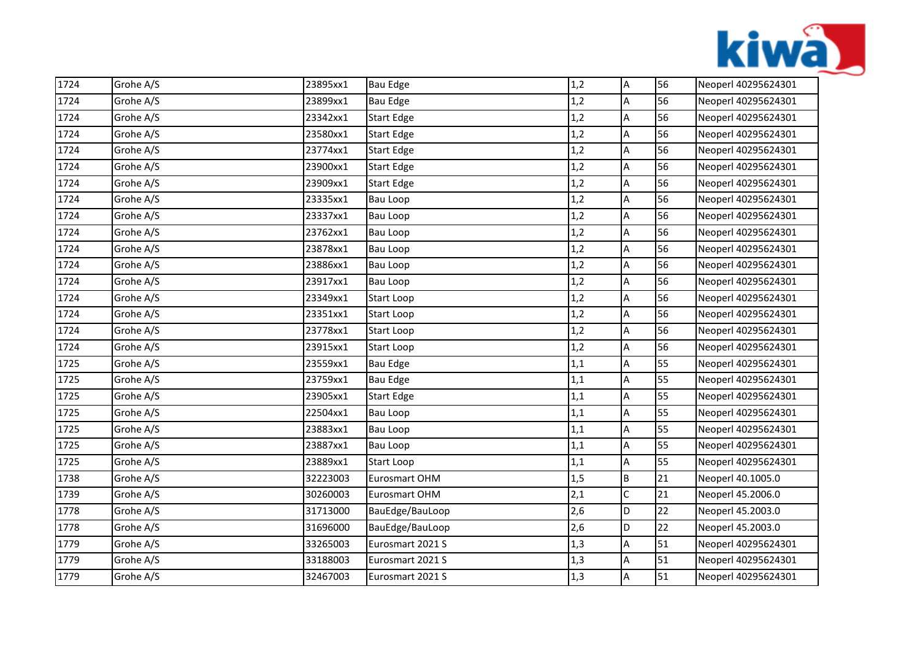

| 1724 | Grohe A/S | 23895xx1 | <b>Bau Edge</b>   | 1,2 | A              | 56 | Neoperl 40295624301 |
|------|-----------|----------|-------------------|-----|----------------|----|---------------------|
| 1724 | Grohe A/S | 23899xx1 | Bau Edge          | 1,2 | A              | 56 | Neoperl 40295624301 |
| 1724 | Grohe A/S | 23342xx1 | <b>Start Edge</b> | 1,2 | A              | 56 | Neoperl 40295624301 |
| 1724 | Grohe A/S | 23580xx1 | <b>Start Edge</b> | 1,2 | A              | 56 | Neoperl 40295624301 |
| 1724 | Grohe A/S | 23774xx1 | <b>Start Edge</b> | 1,2 | A              | 56 | Neoperl 40295624301 |
| 1724 | Grohe A/S | 23900xx1 | Start Edge        | 1,2 | A              | 56 | Neoperl 40295624301 |
| 1724 | Grohe A/S | 23909xx1 | <b>Start Edge</b> | 1,2 | A              | 56 | Neoperl 40295624301 |
| 1724 | Grohe A/S | 23335xx1 | Bau Loop          | 1,2 | A              | 56 | Neoperl 40295624301 |
| 1724 | Grohe A/S | 23337xx1 | Bau Loop          | 1,2 | A              | 56 | Neoperl 40295624301 |
| 1724 | Grohe A/S | 23762xx1 | Bau Loop          | 1,2 | A              | 56 | Neoperl 40295624301 |
| 1724 | Grohe A/S | 23878xx1 | Bau Loop          | 1,2 | A              | 56 | Neoperl 40295624301 |
| 1724 | Grohe A/S | 23886xx1 | Bau Loop          | 1,2 | A              | 56 | Neoperl 40295624301 |
| 1724 | Grohe A/S | 23917xx1 | Bau Loop          | 1,2 | A              | 56 | Neoperl 40295624301 |
| 1724 | Grohe A/S | 23349xx1 | Start Loop        | 1,2 | A              | 56 | Neoperl 40295624301 |
| 1724 | Grohe A/S | 23351xx1 | Start Loop        | 1,2 | A              | 56 | Neoperl 40295624301 |
| 1724 | Grohe A/S | 23778xx1 | Start Loop        | 1,2 | A              | 56 | Neoperl 40295624301 |
| 1724 | Grohe A/S | 23915xx1 | Start Loop        | 1,2 | A              | 56 | Neoperl 40295624301 |
| 1725 | Grohe A/S | 23559xx1 | Bau Edge          | 1,1 | A              | 55 | Neoperl 40295624301 |
| 1725 | Grohe A/S | 23759xx1 | Bau Edge          | 1,1 | A              | 55 | Neoperl 40295624301 |
| 1725 | Grohe A/S | 23905xx1 | <b>Start Edge</b> | 1,1 | A              | 55 | Neoperl 40295624301 |
| 1725 | Grohe A/S | 22504xx1 | Bau Loop          | 1,1 | A              | 55 | Neoperl 40295624301 |
| 1725 | Grohe A/S | 23883xx1 | Bau Loop          | 1,1 | A              | 55 | Neoperl 40295624301 |
| 1725 | Grohe A/S | 23887xx1 | Bau Loop          | 1,1 | A              | 55 | Neoperl 40295624301 |
| 1725 | Grohe A/S | 23889xx1 | Start Loop        | 1,1 | A              | 55 | Neoperl 40295624301 |
| 1738 | Grohe A/S | 32223003 | Eurosmart OHM     | 1,5 | B              | 21 | Neoperl 40.1005.0   |
| 1739 | Grohe A/S | 30260003 | Eurosmart OHM     | 2,1 | $\overline{C}$ | 21 | Neoperl 45.2006.0   |
| 1778 | Grohe A/S | 31713000 | BauEdge/BauLoop   | 2,6 | ID.            | 22 | Neoperl 45.2003.0   |
| 1778 | Grohe A/S | 31696000 | BauEdge/BauLoop   | 2,6 | D              | 22 | Neoperl 45.2003.0   |
| 1779 | Grohe A/S | 33265003 | Eurosmart 2021 S  | 1,3 | A              | 51 | Neoperl 40295624301 |
| 1779 | Grohe A/S | 33188003 | Eurosmart 2021 S  | 1,3 | A              | 51 | Neoperl 40295624301 |
| 1779 | Grohe A/S | 32467003 | Eurosmart 2021 S  | 1,3 | $\sf A$        | 51 | Neoperl 40295624301 |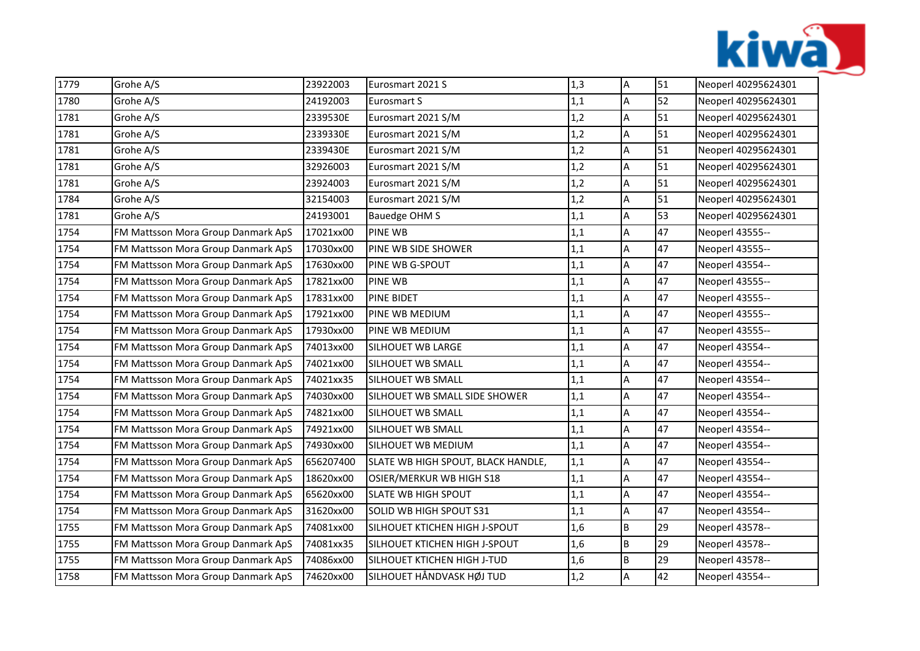

| 1779 | Grohe A/S                          | 23922003  | Eurosmart 2021 S                   | 1,3 | A       | 51 | Neoperl 40295624301 |
|------|------------------------------------|-----------|------------------------------------|-----|---------|----|---------------------|
| 1780 | Grohe A/S                          | 24192003  | Eurosmart S                        | 1,1 | A       | 52 | Neoperl 40295624301 |
| 1781 | Grohe A/S                          | 2339530E  | Eurosmart 2021 S/M                 | 1,2 | A       | 51 | Neoperl 40295624301 |
| 1781 | Grohe A/S                          | 2339330E  | Eurosmart 2021 S/M                 | 1,2 | A       | 51 | Neoperl 40295624301 |
| 1781 | Grohe A/S                          | 2339430E  | Eurosmart 2021 S/M                 | 1,2 | A       | 51 | Neoperl 40295624301 |
| 1781 | Grohe A/S                          | 32926003  | Eurosmart 2021 S/M                 | 1,2 | A       | 51 | Neoperl 40295624301 |
| 1781 | Grohe A/S                          | 23924003  | Eurosmart 2021 S/M                 | 1,2 | A       | 51 | Neoperl 40295624301 |
| 1784 | Grohe A/S                          | 32154003  | Eurosmart 2021 S/M                 | 1,2 | A       | 51 | Neoperl 40295624301 |
| 1781 | Grohe A/S                          | 24193001  | <b>Bauedge OHM S</b>               | 1,1 | A       | 53 | Neoperl 40295624301 |
| 1754 | FM Mattsson Mora Group Danmark ApS | 17021xx00 | <b>PINE WB</b>                     | 1,1 | A       | 47 | Neoperl 43555--     |
| 1754 | FM Mattsson Mora Group Danmark ApS | 17030xx00 | PINE WB SIDE SHOWER                | 1,1 | A       | 47 | Neoperl 43555--     |
| 1754 | FM Mattsson Mora Group Danmark ApS | 17630xx00 | PINE WB G-SPOUT                    | 1,1 | A       | 47 | Neoperl 43554--     |
| 1754 | FM Mattsson Mora Group Danmark ApS | 17821xx00 | PINE WB                            | 1,1 | $\sf A$ | 47 | Neoperl 43555--     |
| 1754 | FM Mattsson Mora Group Danmark ApS | 17831xx00 | PINE BIDET                         | 1,1 | A       | 47 | Neoperl 43555--     |
| 1754 | FM Mattsson Mora Group Danmark ApS | 17921xx00 | PINE WB MEDIUM                     | 1,1 | A       | 47 | Neoperl 43555--     |
| 1754 | FM Mattsson Mora Group Danmark ApS | 17930xx00 | PINE WB MEDIUM                     | 1,1 | A       | 47 | Neoperl 43555--     |
| 1754 | FM Mattsson Mora Group Danmark ApS | 74013xx00 | SILHOUET WB LARGE                  | 1,1 | A       | 47 | Neoperl 43554--     |
| 1754 | FM Mattsson Mora Group Danmark ApS | 74021xx00 | SILHOUET WB SMALL                  | 1,1 | A       | 47 | Neoperl 43554--     |
| 1754 | FM Mattsson Mora Group Danmark ApS | 74021xx35 | SILHOUET WB SMALL                  | 1,1 | A       | 47 | Neoperl 43554--     |
| 1754 | FM Mattsson Mora Group Danmark ApS | 74030xx00 | SILHOUET WB SMALL SIDE SHOWER      | 1,1 | A       | 47 | Neoperl 43554--     |
| 1754 | FM Mattsson Mora Group Danmark ApS | 74821xx00 | SILHOUET WB SMALL                  | 1,1 | A       | 47 | Neoperl 43554--     |
| 1754 | FM Mattsson Mora Group Danmark ApS | 74921xx00 | SILHOUET WB SMALL                  | 1,1 | A       | 47 | Neoperl 43554--     |
| 1754 | FM Mattsson Mora Group Danmark ApS | 74930xx00 | SILHOUET WB MEDIUM                 | 1,1 | A       | 47 | Neoperl 43554--     |
| 1754 | FM Mattsson Mora Group Danmark ApS | 656207400 | SLATE WB HIGH SPOUT, BLACK HANDLE, | 1,1 | Α       | 47 | Neoperl 43554--     |
| 1754 | FM Mattsson Mora Group Danmark ApS | 18620xx00 | OSIER/MERKUR WB HIGH S18           | 1,1 | A       | 47 | Neoperl 43554--     |
| 1754 | FM Mattsson Mora Group Danmark ApS | 65620xx00 | SLATE WB HIGH SPOUT                | 1,1 | A       | 47 | Neoperl 43554--     |
| 1754 | FM Mattsson Mora Group Danmark ApS | 31620xx00 | SOLID WB HIGH SPOUT S31            | 1,1 | A       | 47 | Neoperl 43554--     |
| 1755 | FM Mattsson Mora Group Danmark ApS | 74081xx00 | SILHOUET KTICHEN HIGH J-SPOUT      | 1,6 | B       | 29 | Neoperl 43578--     |
| 1755 | FM Mattsson Mora Group Danmark ApS | 74081xx35 | SILHOUET KTICHEN HIGH J-SPOUT      | 1,6 | B       | 29 | Neoperl 43578--     |
| 1755 | FM Mattsson Mora Group Danmark ApS | 74086xx00 | SILHOUET KTICHEN HIGH J-TUD        | 1,6 | B       | 29 | Neoperl 43578--     |
| 1758 | FM Mattsson Mora Group Danmark ApS | 74620xx00 | SILHOUET HÅNDVASK HØJ TUD          | 1,2 | A       | 42 | Neoperl 43554--     |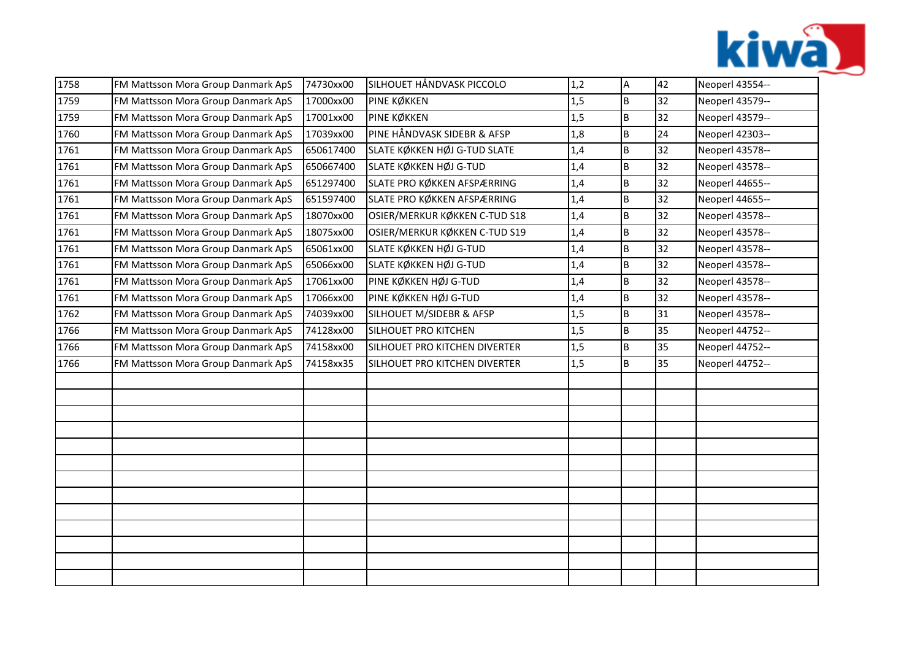

| 1758             | FM Mattsson Mora Group Danmark ApS | 74730xx00 | SILHOUET HÅNDVASK PICCOLO     | 1,2 | $\overline{A}$ | 42 | Neoperl 43554-- |
|------------------|------------------------------------|-----------|-------------------------------|-----|----------------|----|-----------------|
| 1759             | FM Mattsson Mora Group Danmark ApS | 17000xx00 | PINE KØKKEN                   | 1,5 | B              | 32 | Neoperl 43579-- |
| 1759             | FM Mattsson Mora Group Danmark ApS | 17001xx00 | PINE KØKKEN                   | 1,5 | B              | 32 | Neoperl 43579-- |
| 1760             | FM Mattsson Mora Group Danmark ApS | 17039xx00 | PINE HÅNDVASK SIDEBR & AFSP   | 1,8 | B              | 24 | Neoperl 42303-- |
| 1761             | FM Mattsson Mora Group Danmark ApS | 650617400 | SLATE KØKKEN HØJ G-TUD SLATE  | 1,4 | B              | 32 | Neoperl 43578-- |
| 1761             | FM Mattsson Mora Group Danmark ApS | 650667400 | SLATE KØKKEN HØJ G-TUD        | 1,4 | B              | 32 | Neoperl 43578-- |
| $1761$           | FM Mattsson Mora Group Danmark ApS | 651297400 | SLATE PRO KØKKEN AFSPÆRRING   | 1,4 | B              | 32 | Neoperl 44655-- |
| 1761             | FM Mattsson Mora Group Danmark ApS | 651597400 | SLATE PRO KØKKEN AFSPÆRRING   | 1,4 | B              | 32 | Neoperl 44655-- |
| 1761             | FM Mattsson Mora Group Danmark ApS | 18070xx00 | OSIER/MERKUR KØKKEN C-TUD S18 | 1,4 | $\sf B$        | 32 | Neoperl 43578-- |
| 1761             | FM Mattsson Mora Group Danmark ApS | 18075xx00 | OSIER/MERKUR KØKKEN C-TUD S19 | 1,4 | B              | 32 | Neoperl 43578-- |
| 1761             | FM Mattsson Mora Group Danmark ApS | 65061xx00 | SLATE KØKKEN HØJ G-TUD        | 1,4 | B              | 32 | Neoperl 43578-- |
| 1761             | FM Mattsson Mora Group Danmark ApS | 65066xx00 | SLATE KØKKEN HØJ G-TUD        | 1,4 | B              | 32 | Neoperl 43578-- |
| $\frac{1}{1761}$ | FM Mattsson Mora Group Danmark ApS | 17061xx00 | PINE KØKKEN HØJ G-TUD         | 1,4 | B              | 32 | Neoperl 43578-- |
| 1761             | FM Mattsson Mora Group Danmark ApS | 17066xx00 | PINE KØKKEN HØJ G-TUD         | 1,4 | $\sf B$        | 32 | Neoperl 43578-- |
| 1762             | FM Mattsson Mora Group Danmark ApS | 74039xx00 | SILHOUET M/SIDEBR & AFSP      | 1,5 | B              | 31 | Neoperl 43578-- |
| 1766             | FM Mattsson Mora Group Danmark ApS | 74128xx00 | SILHOUET PRO KITCHEN          | 1,5 | B              | 35 | Neoperl 44752-- |
| 1766             | FM Mattsson Mora Group Danmark ApS | 74158xx00 | SILHOUET PRO KITCHEN DIVERTER | 1,5 | B              | 35 | Neoperl 44752-- |
| 1766             | FM Mattsson Mora Group Danmark ApS | 74158xx35 | SILHOUET PRO KITCHEN DIVERTER | 1,5 | B              | 35 | Neoperl 44752-- |
|                  |                                    |           |                               |     |                |    |                 |
|                  |                                    |           |                               |     |                |    |                 |
|                  |                                    |           |                               |     |                |    |                 |
|                  |                                    |           |                               |     |                |    |                 |
|                  |                                    |           |                               |     |                |    |                 |
|                  |                                    |           |                               |     |                |    |                 |
|                  |                                    |           |                               |     |                |    |                 |
|                  |                                    |           |                               |     |                |    |                 |
|                  |                                    |           |                               |     |                |    |                 |
|                  |                                    |           |                               |     |                |    |                 |
|                  |                                    |           |                               |     |                |    |                 |
|                  |                                    |           |                               |     |                |    |                 |
|                  |                                    |           |                               |     |                |    |                 |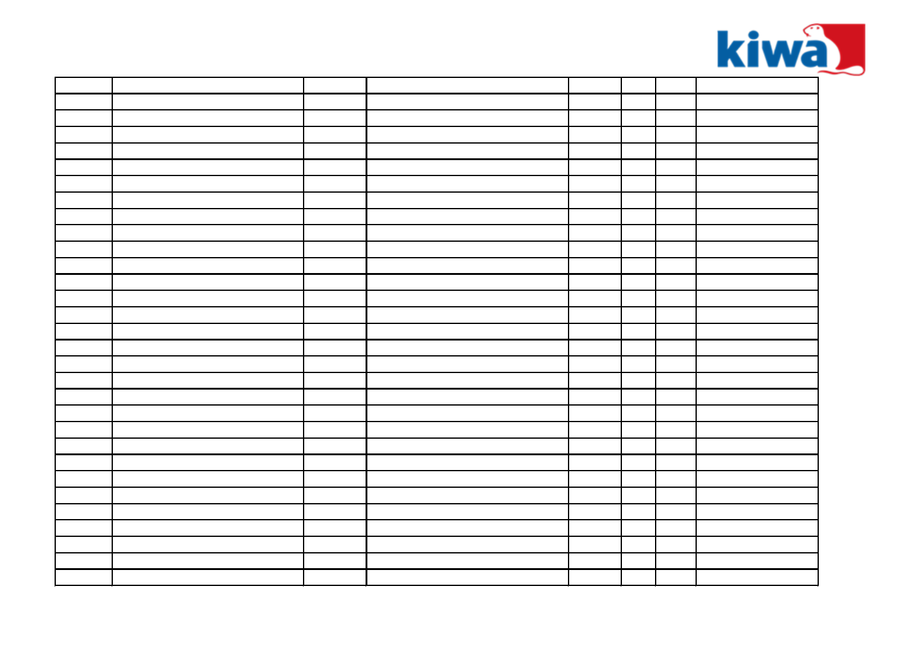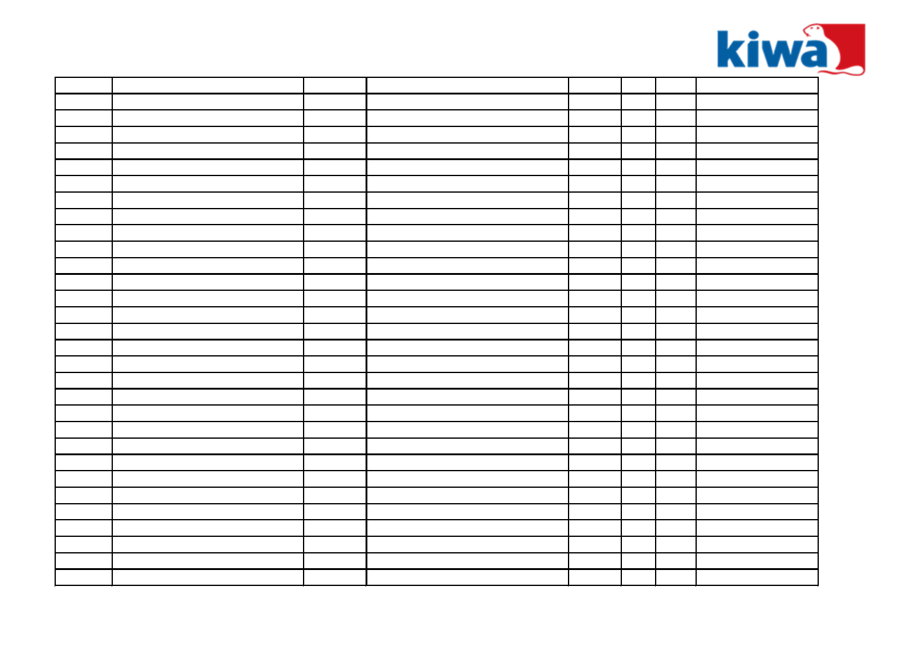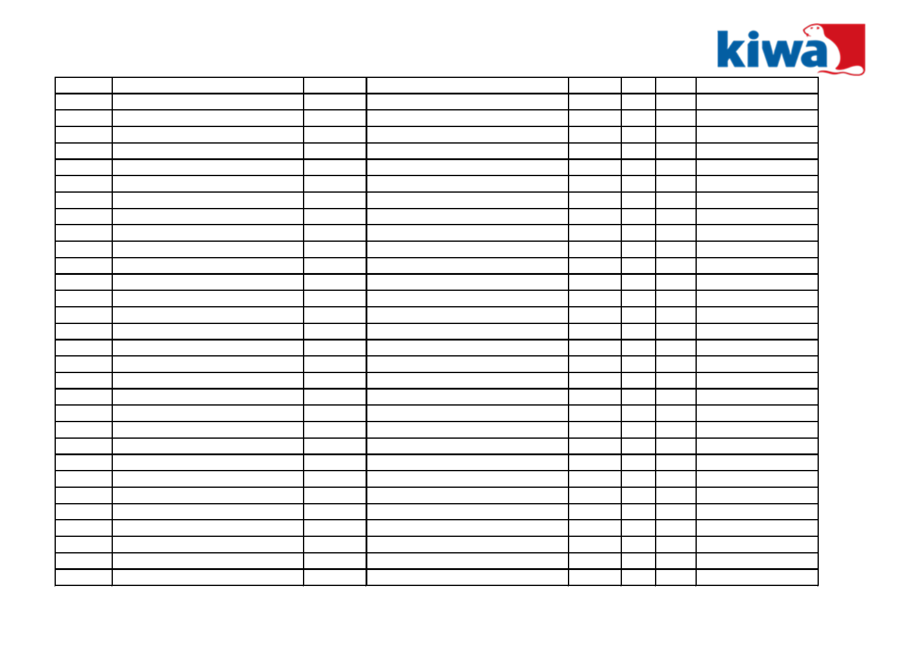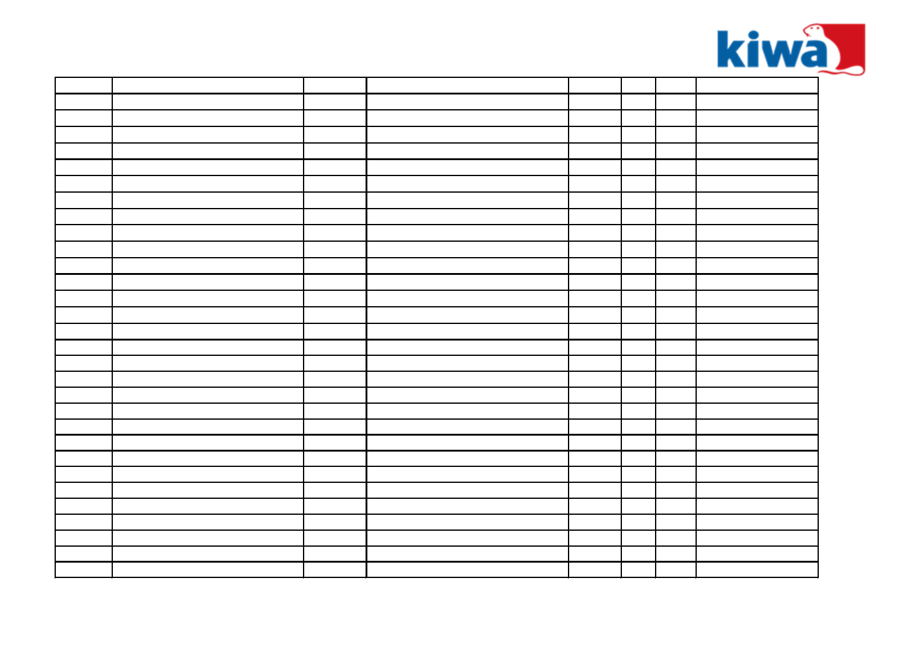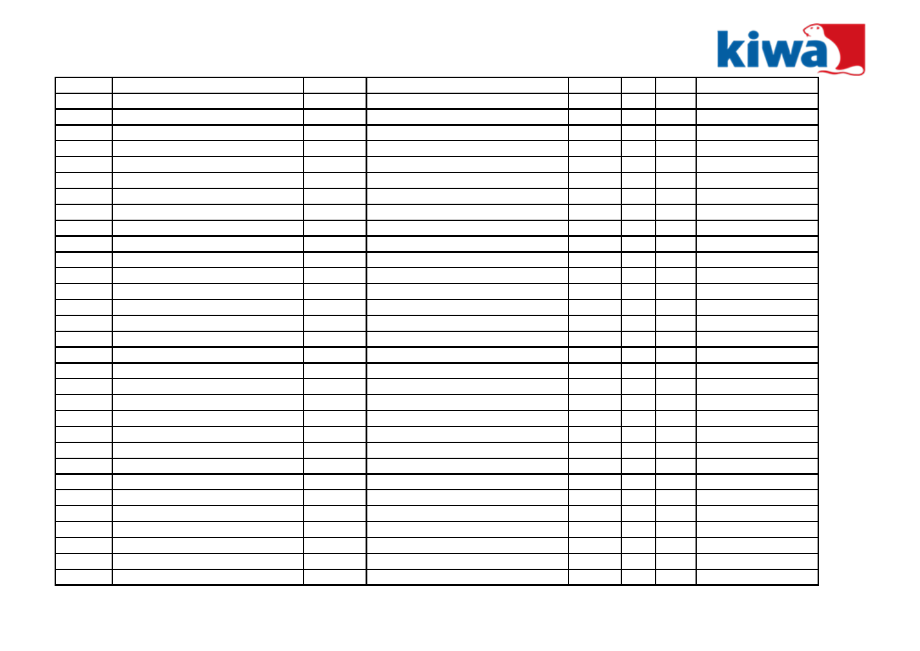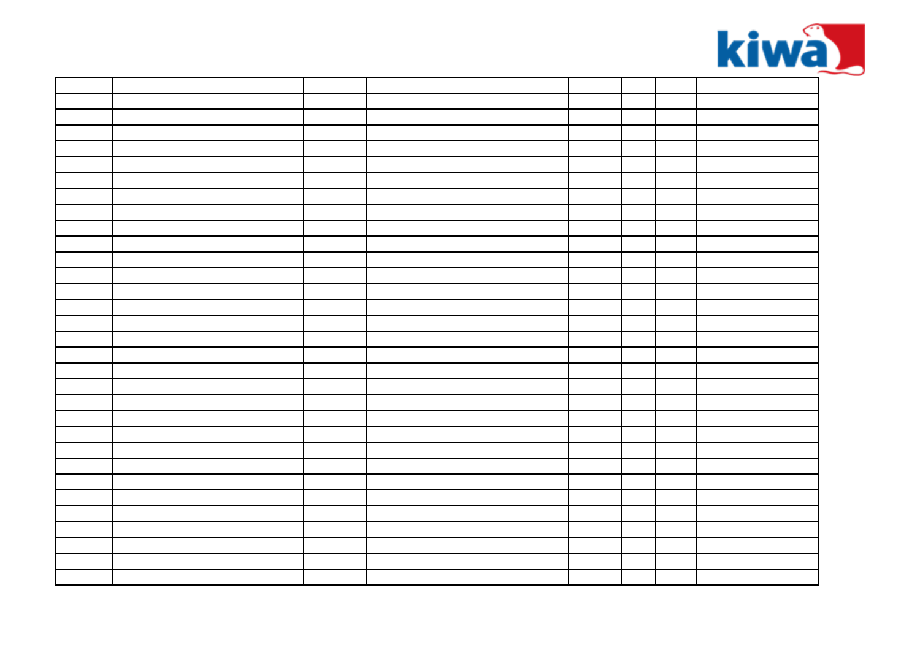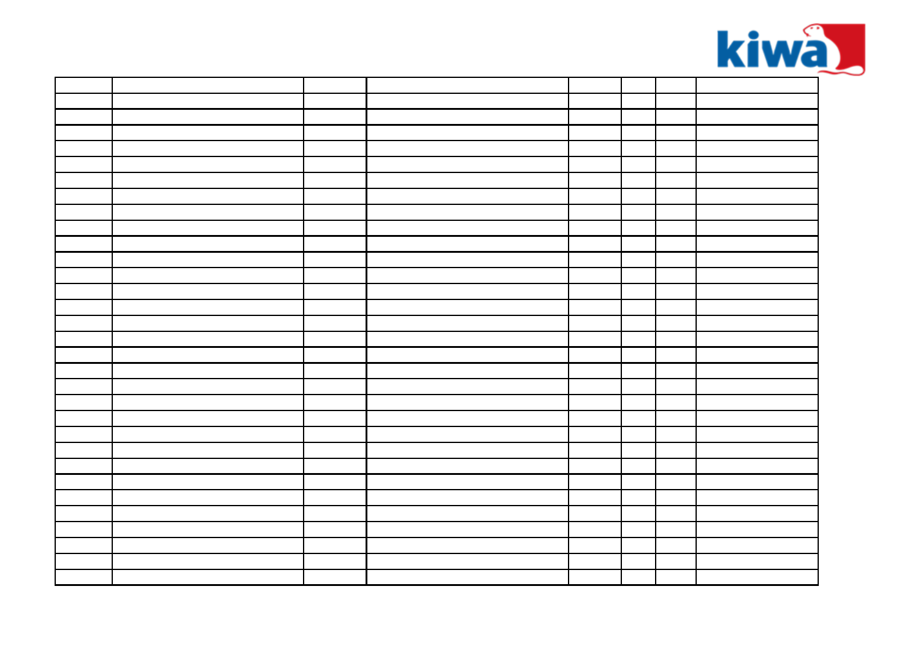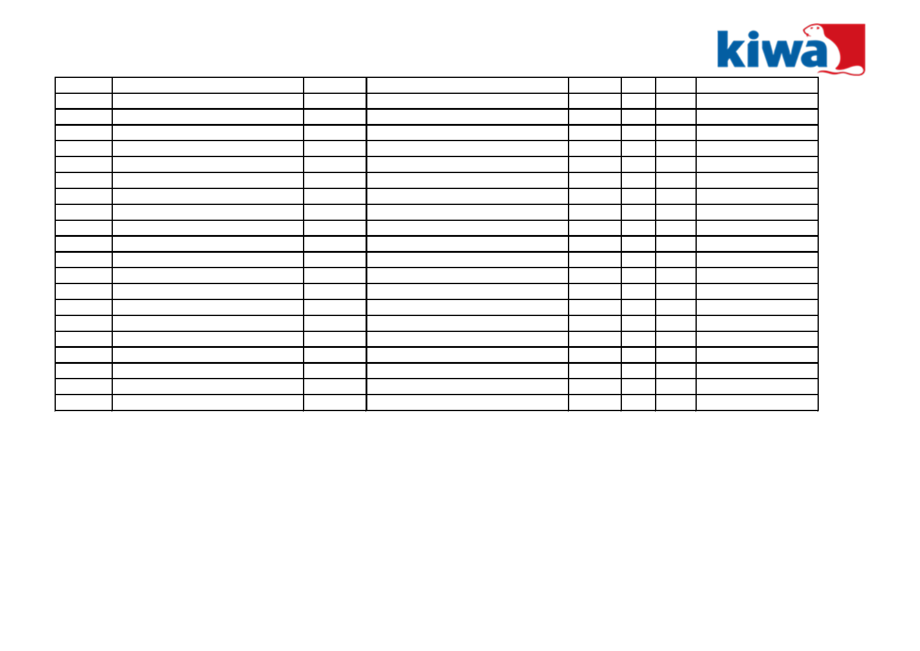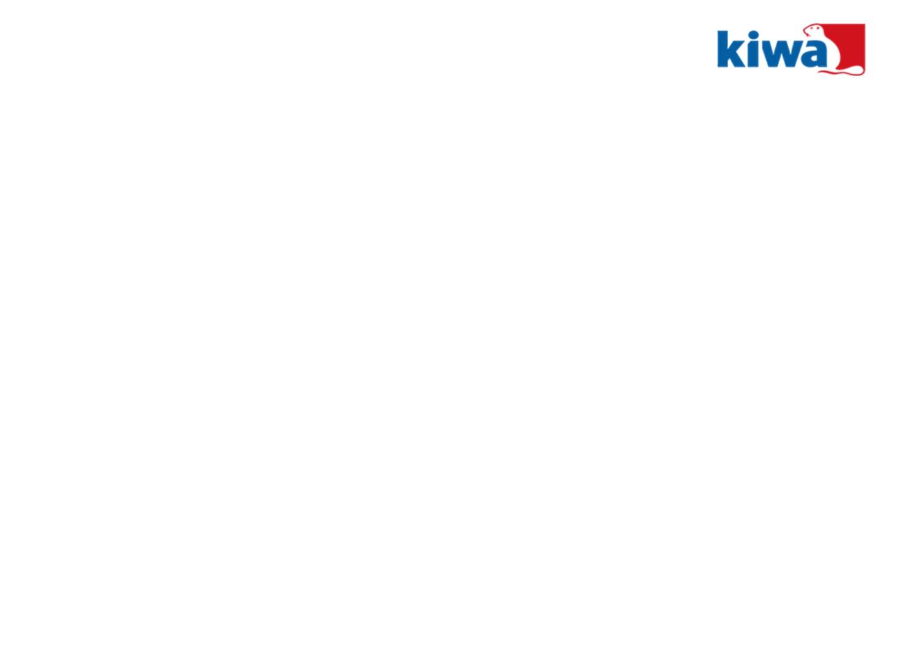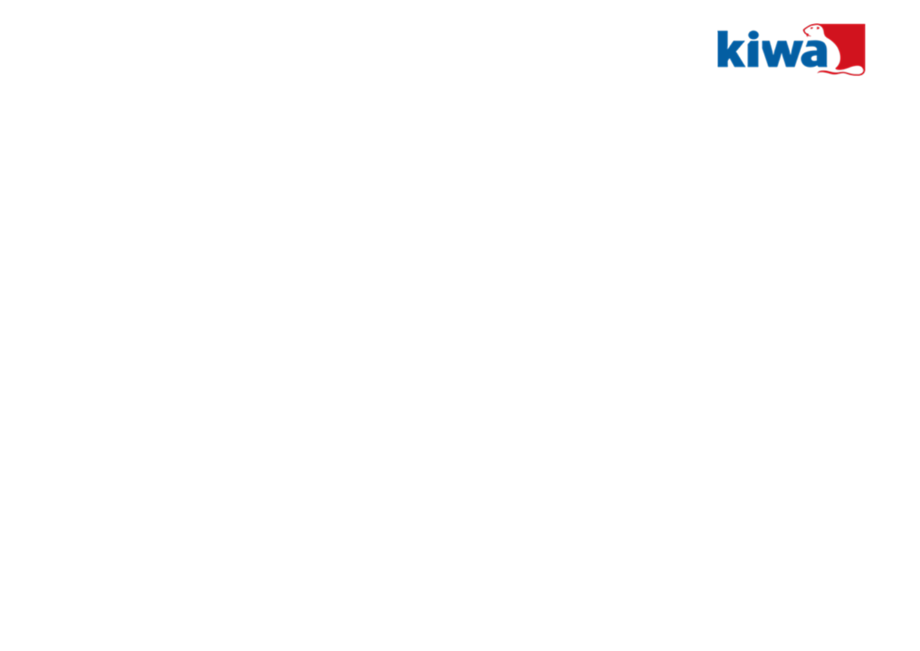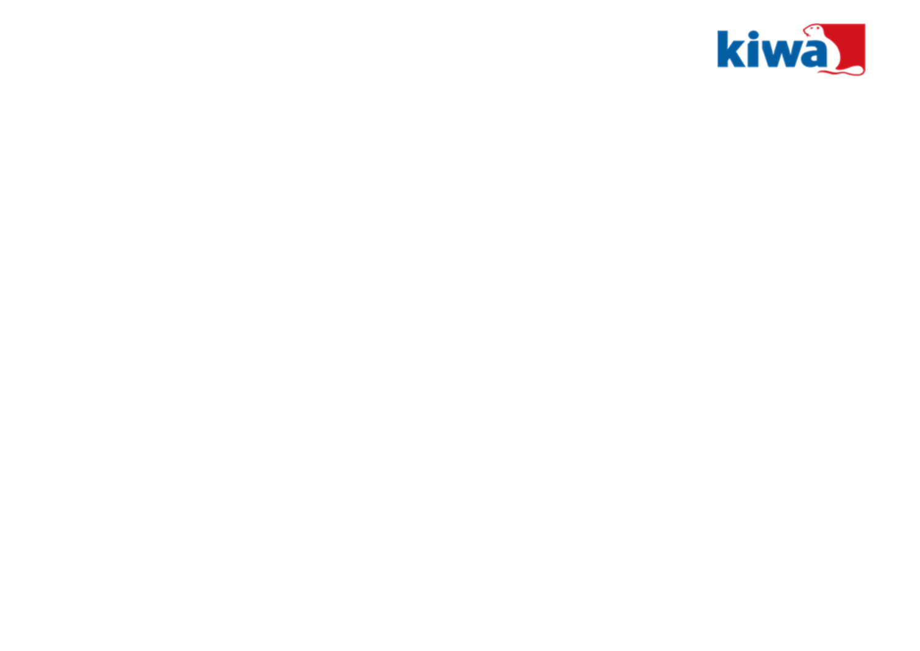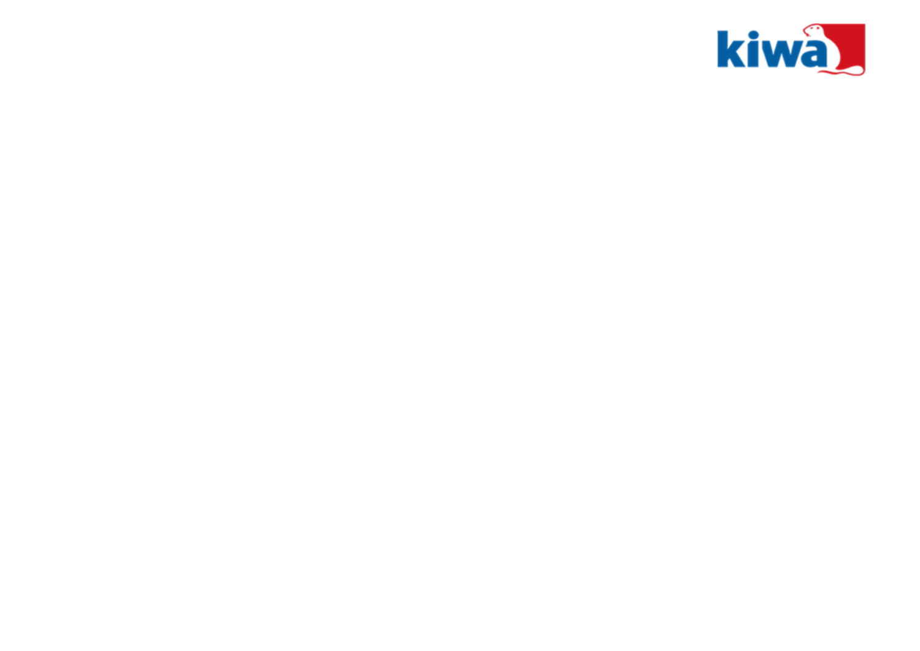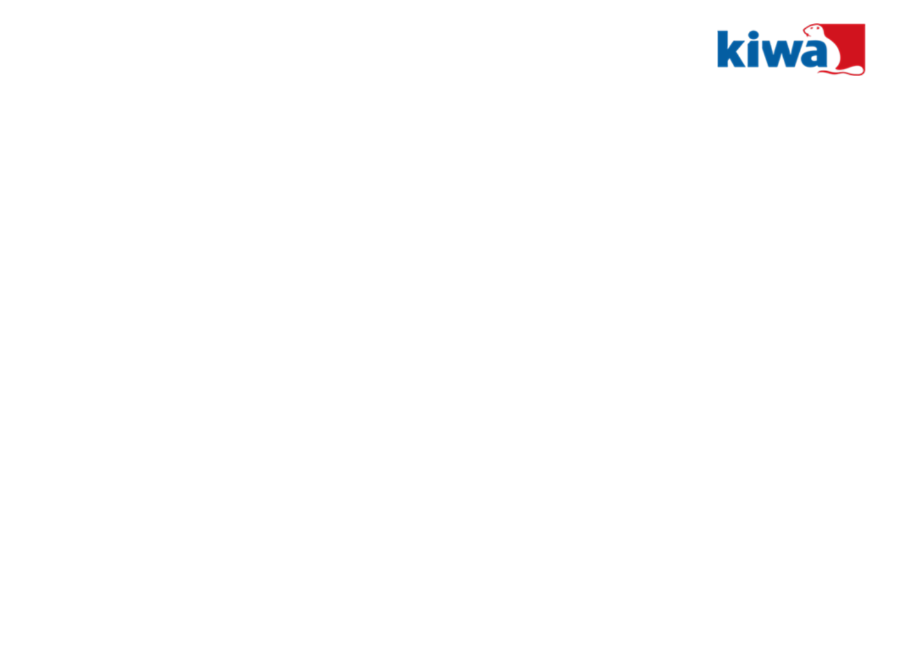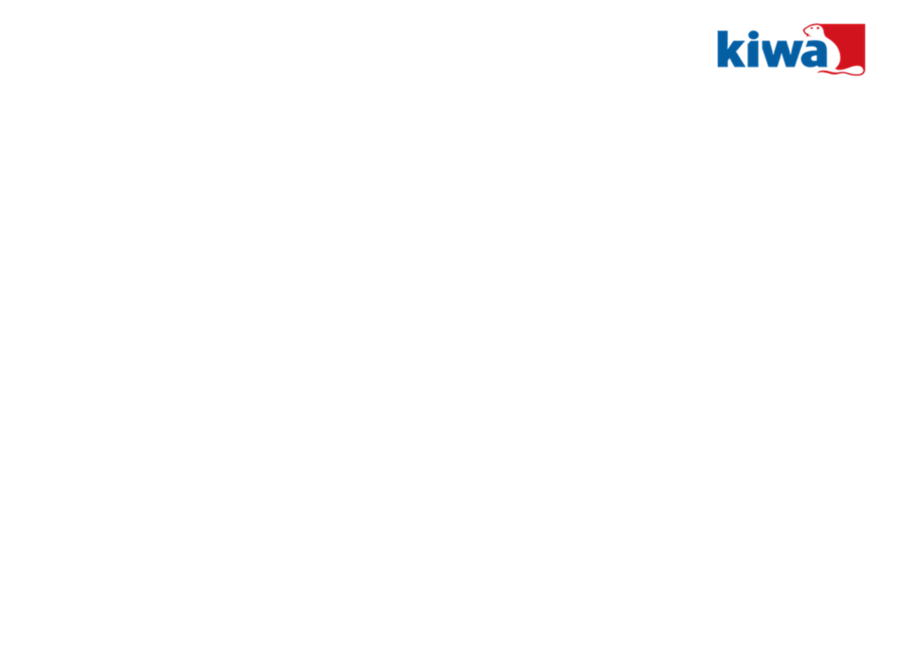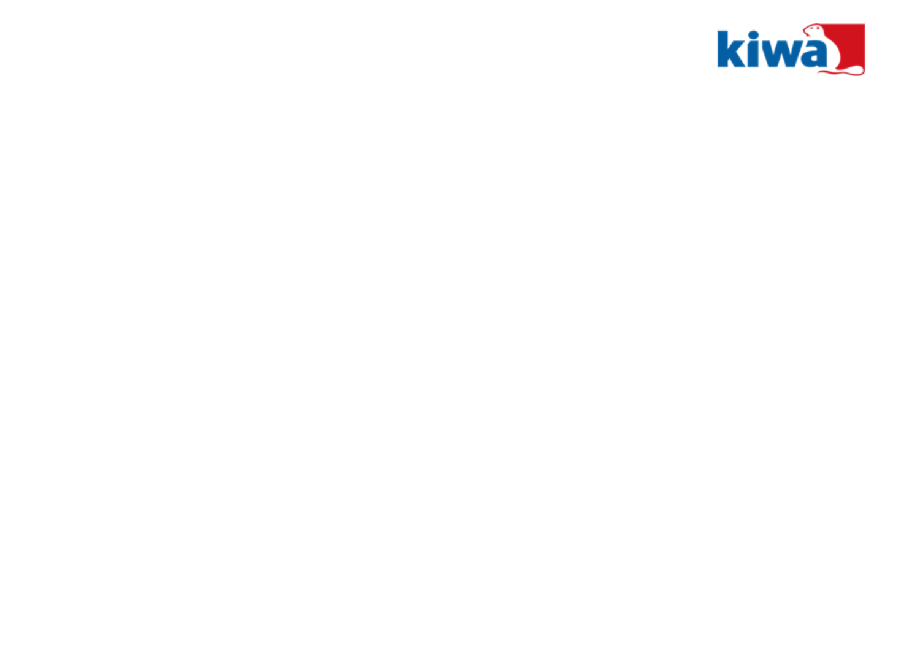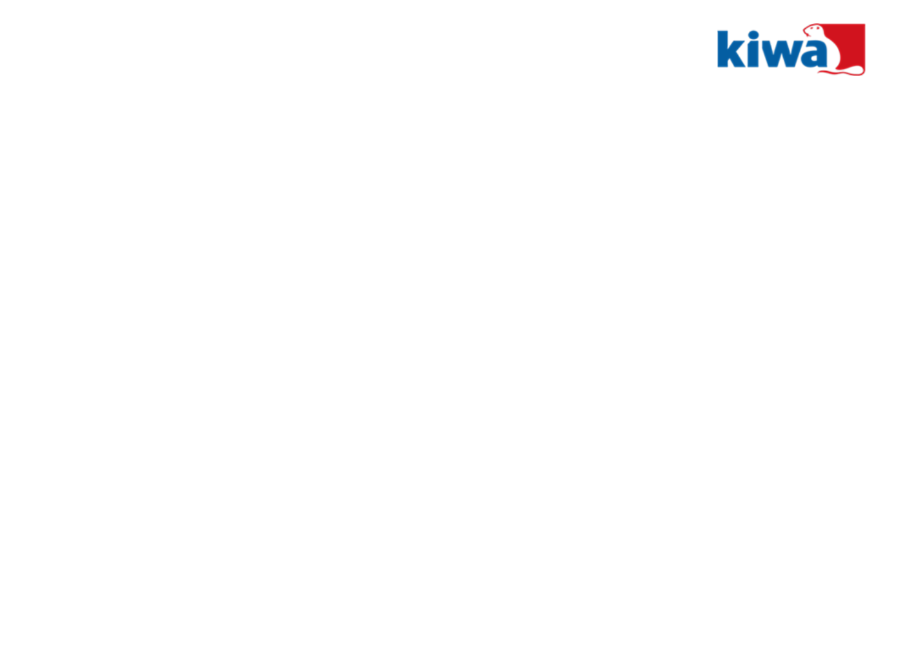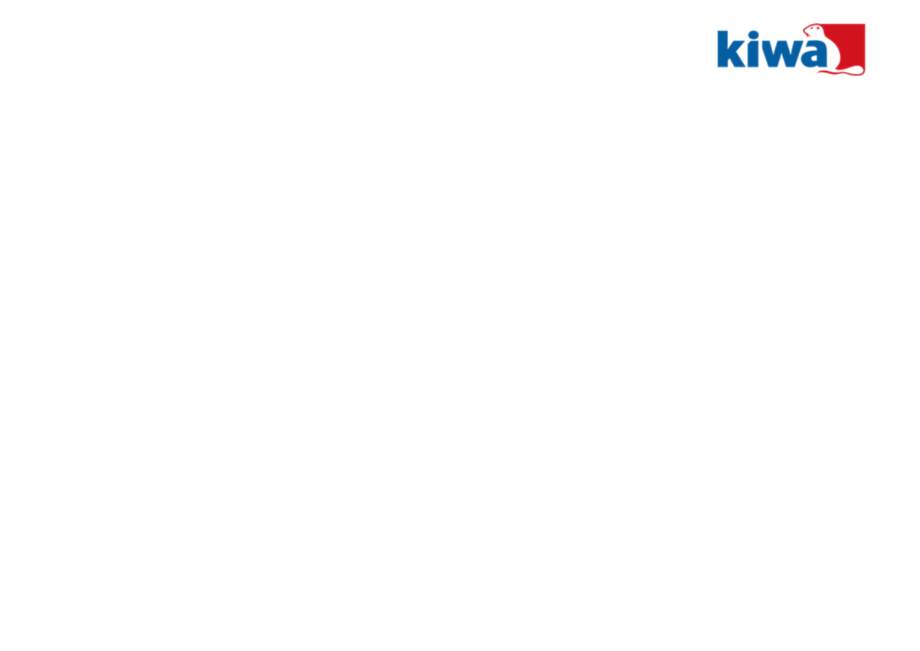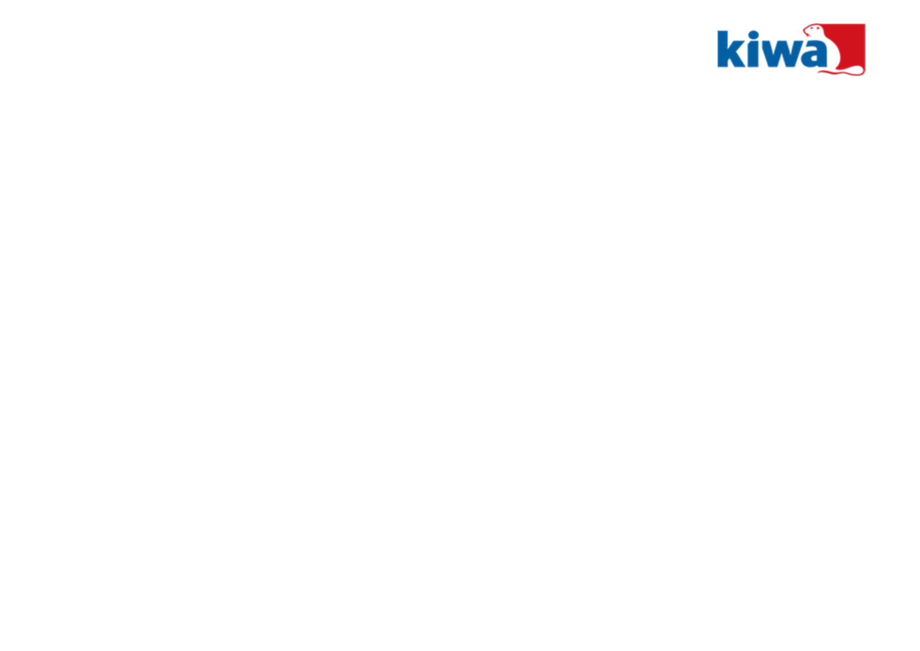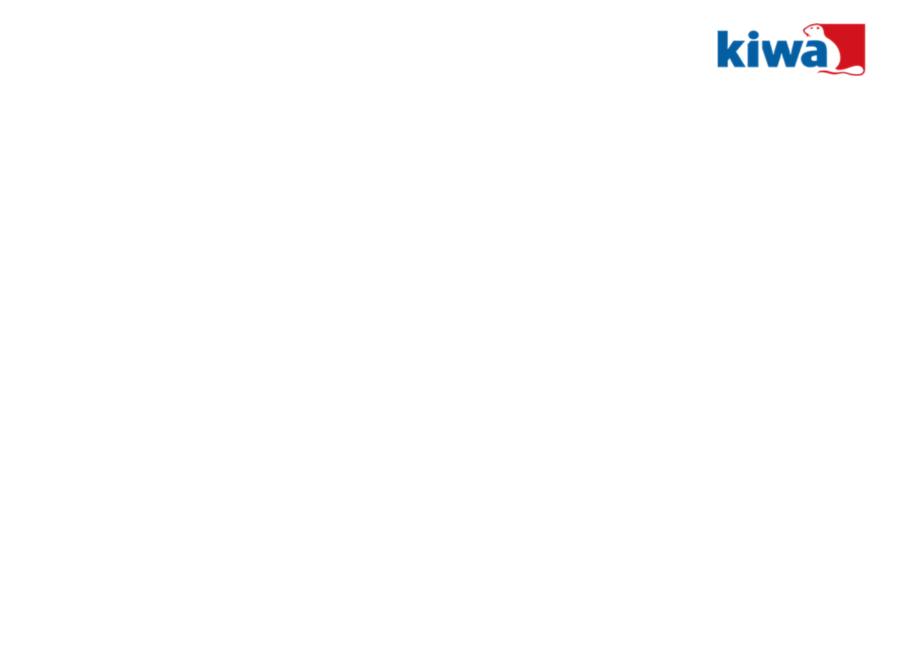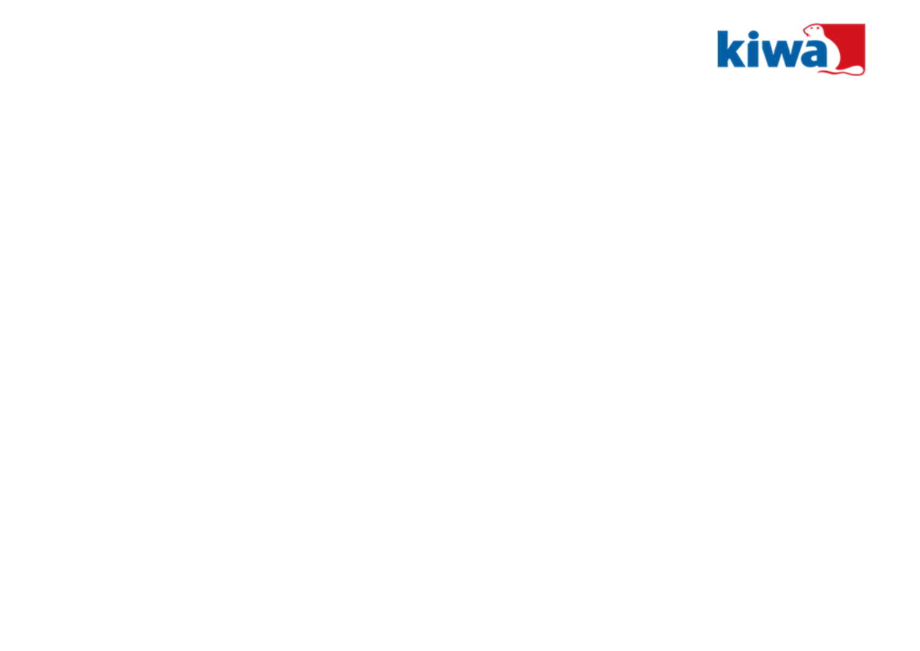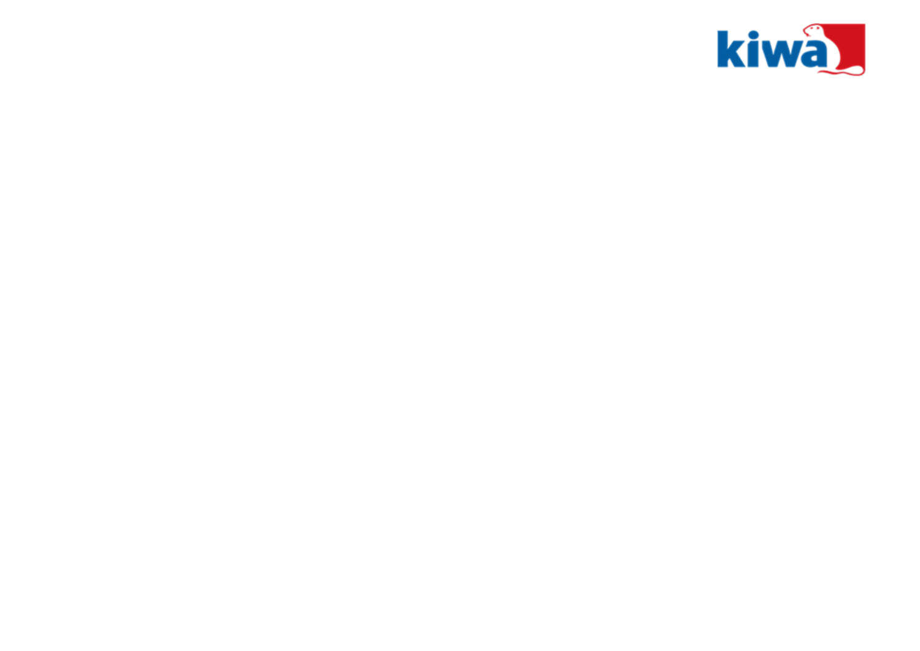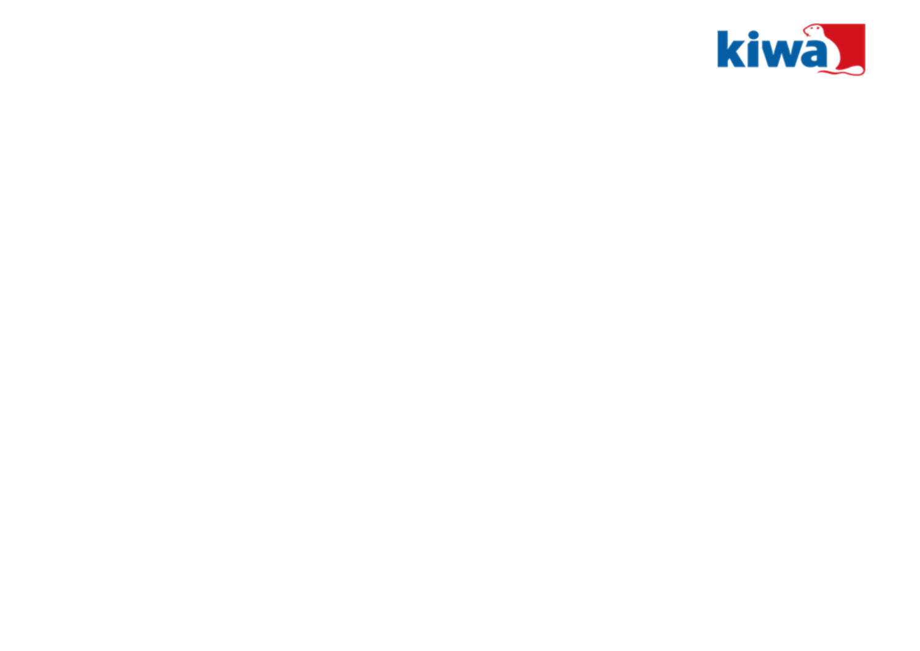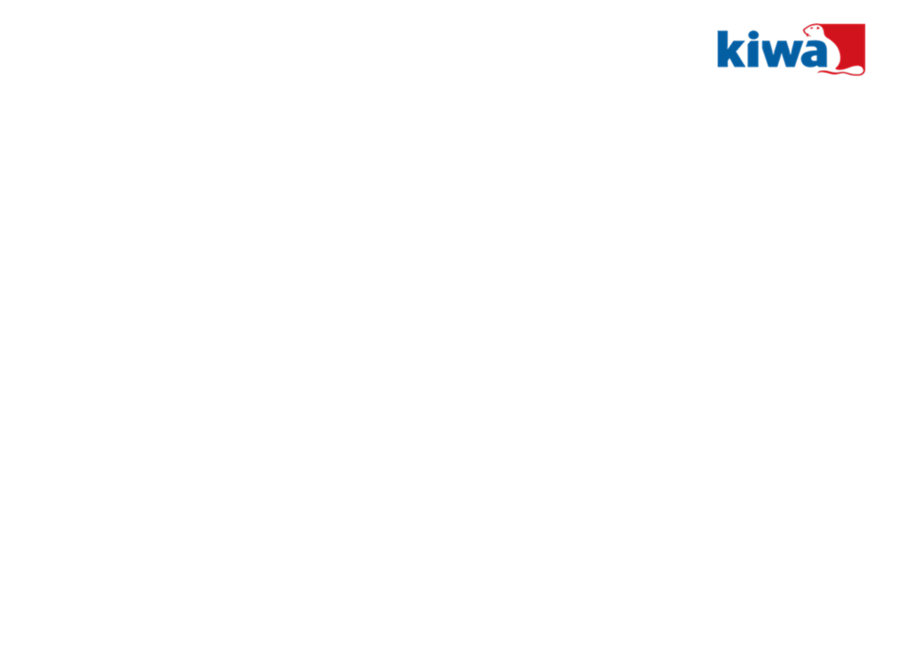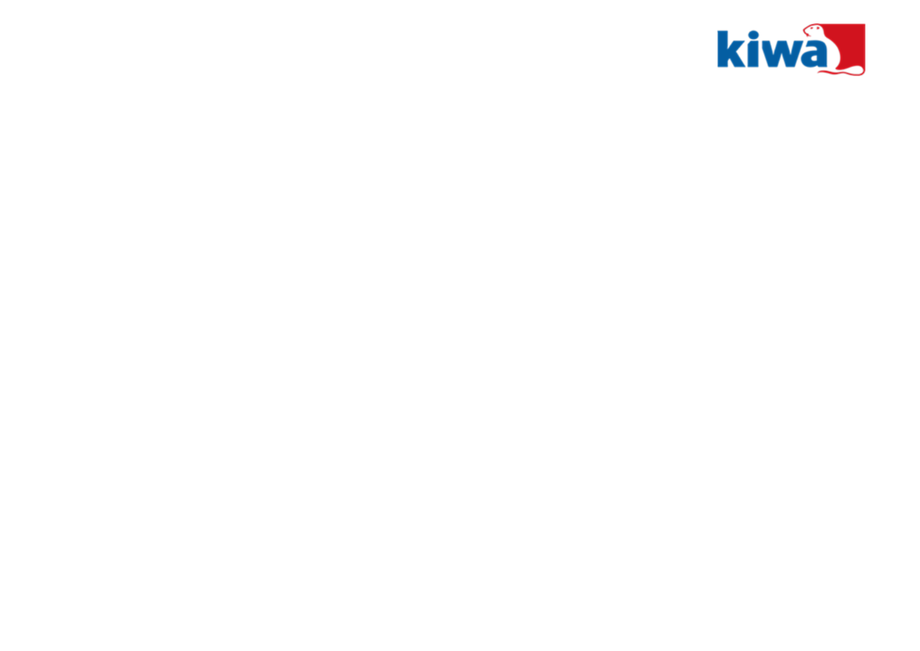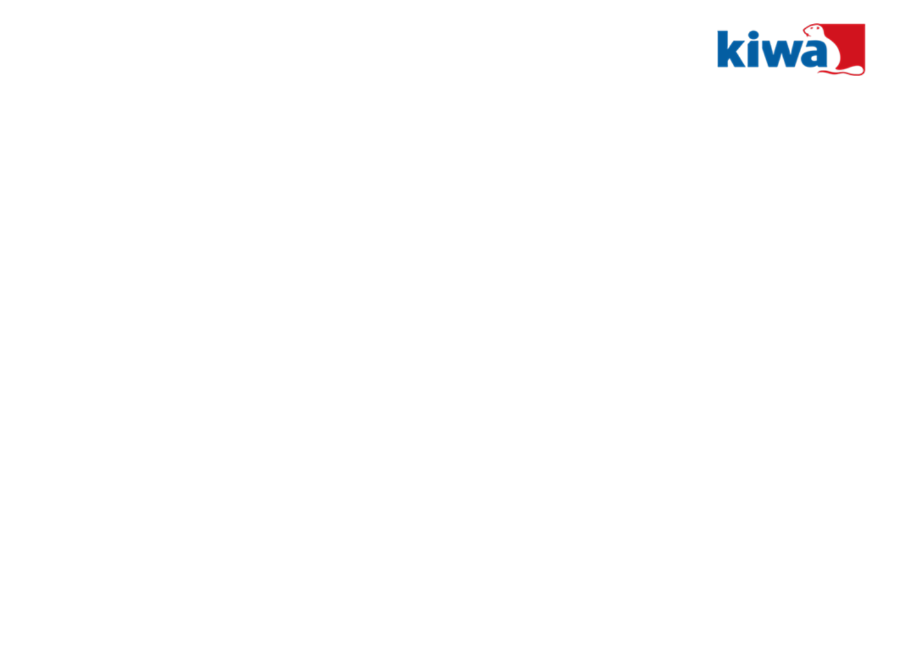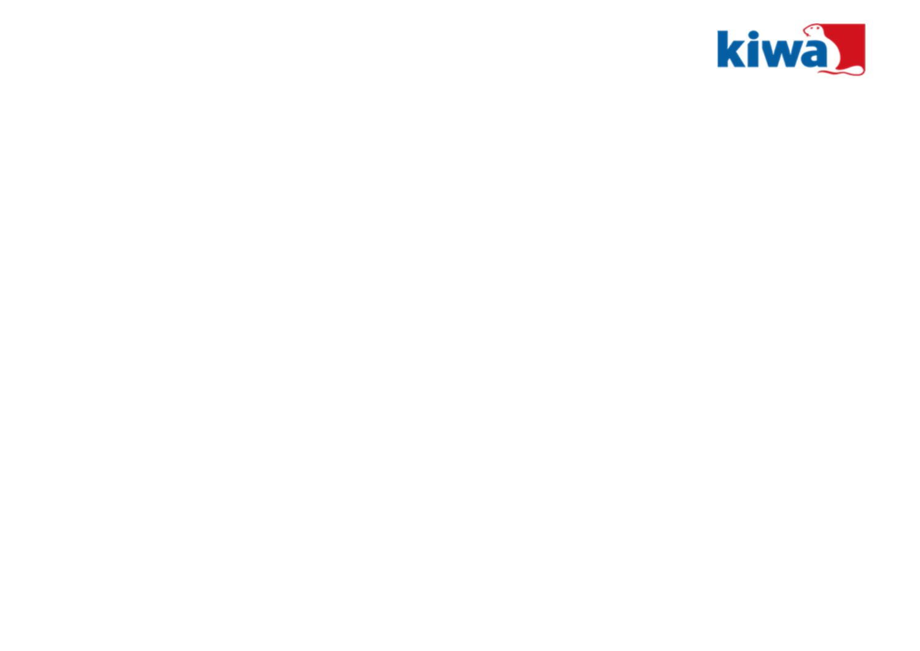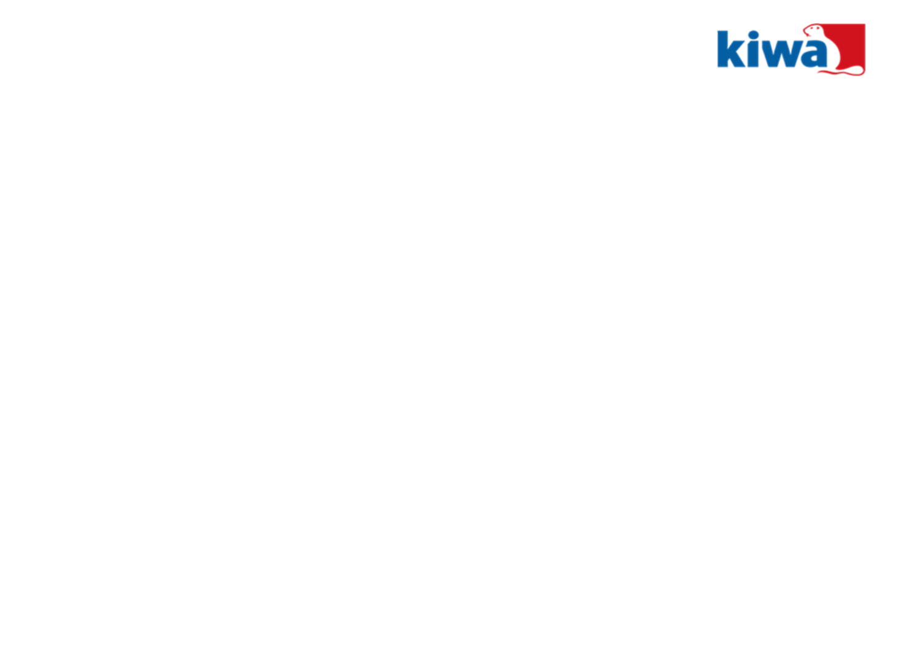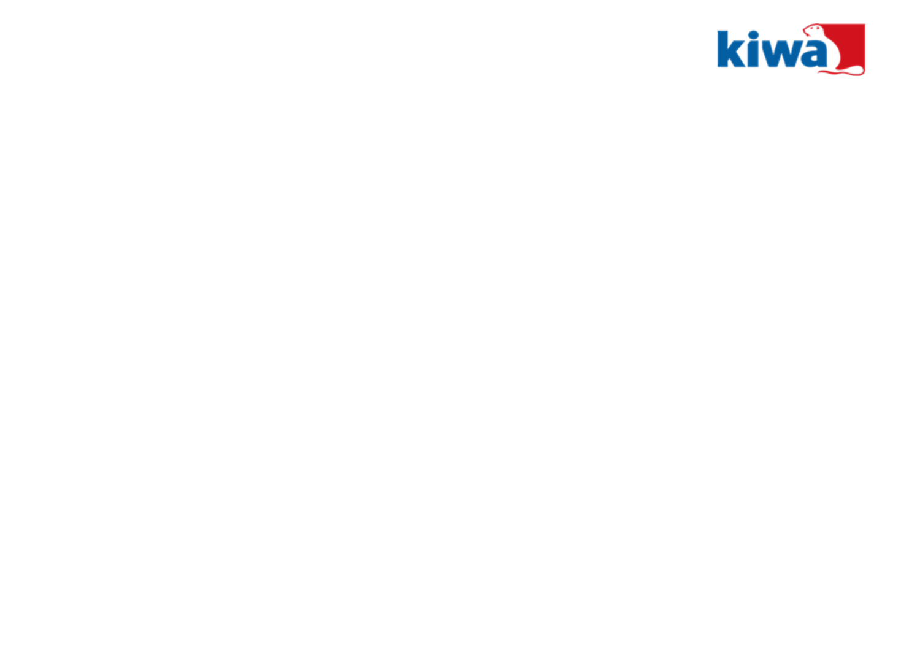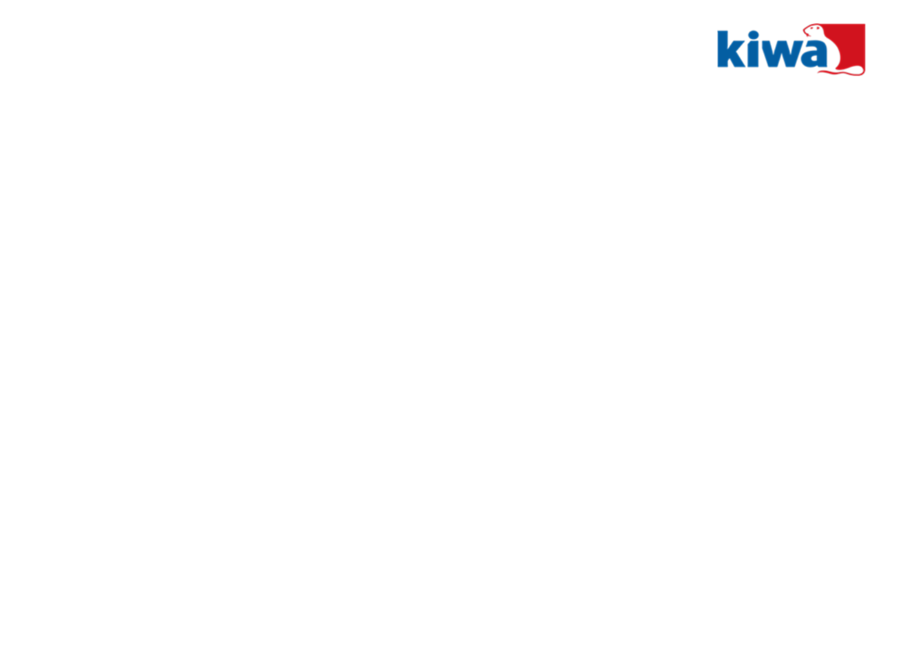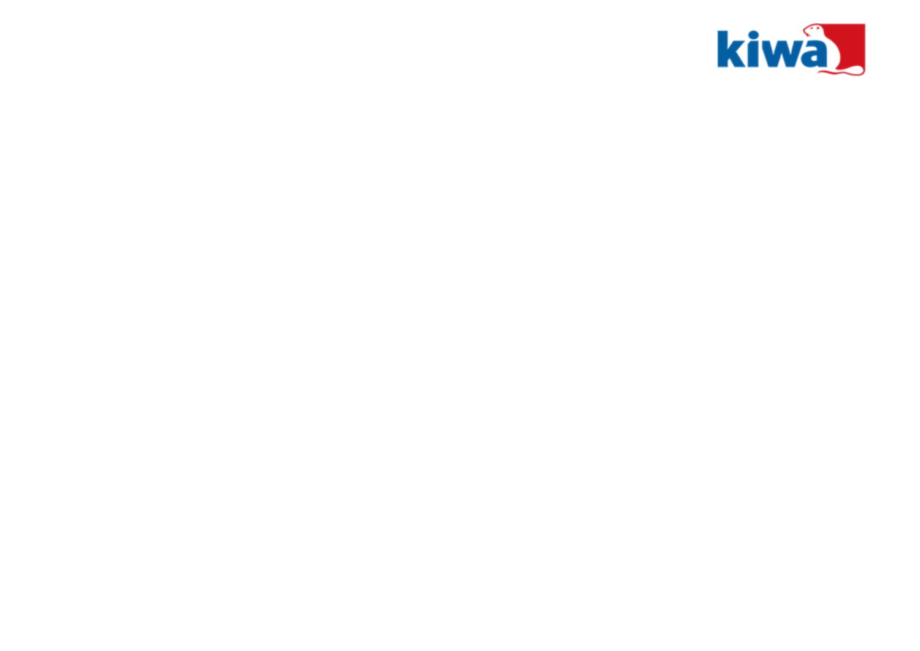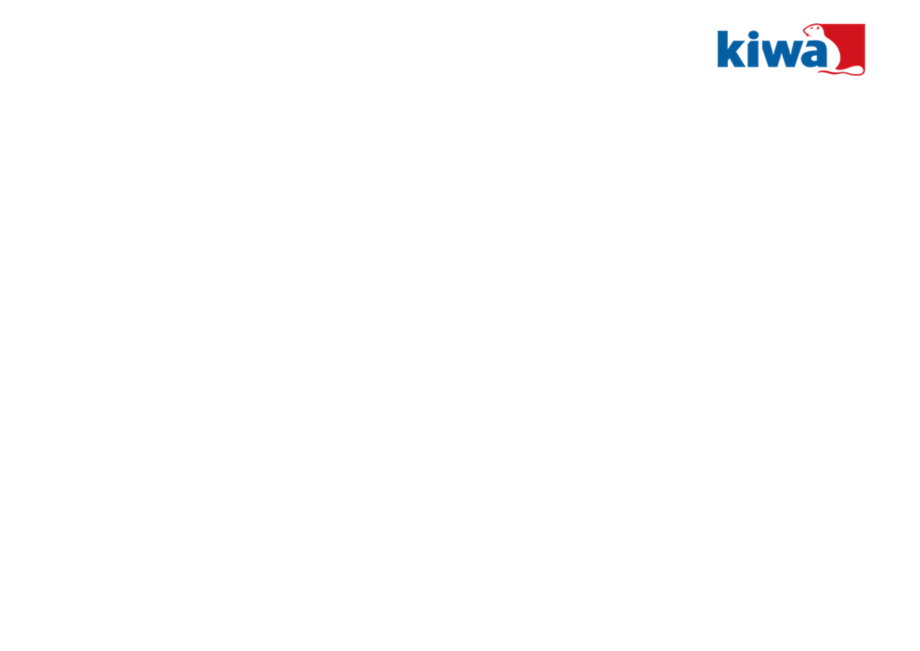